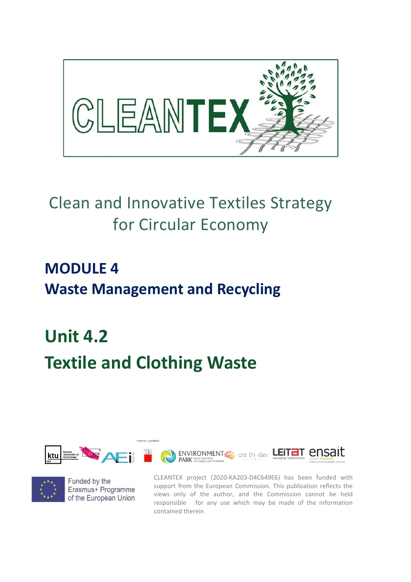

## Clean and Innovative Textiles Strategy for Circular Economy

## **MODULE 4 Waste Management and Recycling**

# **Unit 4.2 Textile and Clothing Waste**





Funded by the Erasmus+ Programme of the European Union CLEANTEX project (2020-KA203-D4C649E6) has been funded with support from the European Commission. This publication reflects the views only of the author, and the Commission cannot be held responsible for any use which may be made of the information contained therein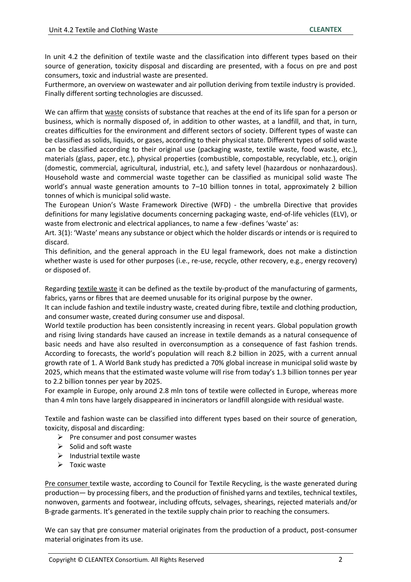In unit 4.2 the definition of textile waste and the classification into different types based on their source of generation, toxicity disposal and discarding are presented, with a focus on pre and post consumers, toxic and industrial waste are presented.

Furthermore, an overview on wastewater and air pollution deriving from textile industry is provided. Finally different sorting technologies are discussed.

We can affirm that waste consists of substance that reaches at the end of its life span for a person or business, which is normally disposed of, in addition to other wastes, at a landfill, and that, in turn, creates difficulties for the environment and different sectors of society. Different types of waste can be classified as solids, liquids, or gases, according to their physical state. Different types of solid waste can be classified according to their original use (packaging waste, textile waste, food waste, etc.), materials (glass, paper, etc.), physical properties (combustible, compostable, recyclable, etc.), origin (domestic, commercial, agricultural, industrial, etc.), and safety level (hazardous or nonhazardous). Household waste and commercial waste together can be classified as municipal solid waste The world's annual waste generation amounts to 7-10 billion tonnes in total, approximately 2 billion tonnes of which is municipal solid waste.

The European Union's Waste Framework Directive (WFD) - the umbrella Directive that provides definitions for many legislative documents concerning packaging waste, end-of-life vehicles (ELV), or waste from electronic and electrical appliances, to name a few -defines 'waste' as:

Art. 3(1): 'Waste' means any substance or object which the holder discards or intends or is required to discard.

This definition, and the general approach in the EU legal framework, does not make a distinction whether waste is used for other purposes (i.e., re-use, recycle, other recovery, e.g., energy recovery) or disposed of.

Regarding textile waste it can be defined as the textile by-product of the manufacturing of garments, fabrics, yarns or fibres that are deemed unusable for its original purpose by the owner.

It can include fashion and textile industry waste, created during fibre, textile and clothing production, and consumer waste, created during consumer use and disposal.

World textile production has been consistently increasing in recent years. Global population growth and rising living standards have caused an increase in textile demands as a natural consequence of basic needs and have also resulted in overconsumption as a consequence of fast fashion trends. According to forecasts, the world's population will reach 8.2 billion in 2025, with a current annual growth rate of 1. A World Bank study has predicted a 70% global increase in municipal solid waste by 2025, which means that the estimated waste volume will rise from today's 1.3 billion tonnes per year to 2.2 billion tonnes per year by 2025.

For example in Europe, only around 2.8 mln tons of textile were collected in Europe, whereas more than 4 mln tons have largely disappeared in incinerators or landfill alongside with residual waste.

Textile and fashion waste can be classified into different types based on their source of generation, toxicity, disposal and discarding:

- $\triangleright$  Pre consumer and post consumer wastes
- $\triangleright$  Solid and soft waste
- $\triangleright$  Industrial textile waste
- $\triangleright$  Toxic waste

Pre consumer textile waste, according to Council for Textile Recycling, is the waste generated during production— by processing fibers, and the production of finished yarns and textiles, technical textiles, nonwoven, garments and footwear, including offcuts, selvages, shearings, rejected materials and/or B-grade garments. It's generated in the textile supply chain prior to reaching the consumers.

We can say that pre consumer material originates from the production of a product, post-consumer material originates from its use.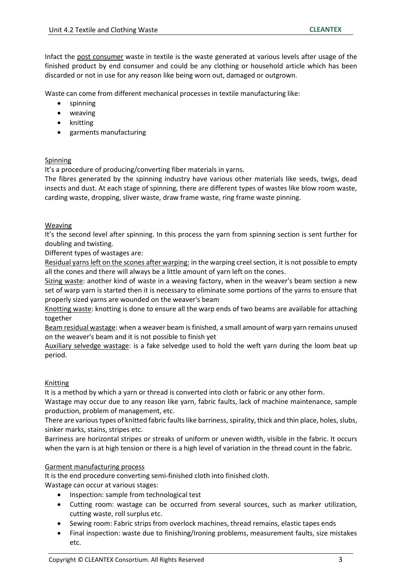Infact the post consumer waste in textile is the waste generated at various levels after usage of the finished product by end consumer and could be any clothing or household article which has been discarded or not in use for any reason like being worn out, damaged or outgrown.

Waste can come from different mechanical processes in textile manufacturing like:

- spinning
- weaving
- knitting
- garments manufacturing

#### **Spinning**

It's a procedure of producing/converting fiber materials in yarns.

The fibres generated by the spinning industry have various other materials like seeds, twigs, dead insects and dust. At each stage of spinning, there are different types of wastes like blow room waste, carding waste, dropping, sliver waste, draw frame waste, ring frame waste pinning.

#### Weaving

It's the second level after spinning. In this process the yarn from spinning section is sent further for doubling and twisting.

Different types of wastages are:

Residual yarns left on the scones after warping: in the warping creel section, it is not possible to empty all the cones and there will always be a little amount of yarn left on the cones.

Sizing waste: another kind of waste in a weaving factory, when in the weaver's beam section a new set of warp yarn is started then it is necessary to eliminate some portions of the yarns to ensure that properly sized yarns are wounded on the weaver's beam

Knotting waste: knotting is done to ensure all the warp ends of two beams are available for attaching together

Beam residual wastage: when a weaver beam is finished, a small amount of warp yarn remains unused on the weaver's beam and it is not possible to finish yet

Auxiliary selvedge wastage: is a fake selvedge used to hold the weft yarn during the loom beat up period.

#### Knitting

It is a method by which a yarn or thread is converted into cloth or fabric or any other form.

Wastage may occur due to any reason like yarn, fabric faults, lack of machine maintenance, sample production, problem of management, etc.

There are various types of knitted fabric faults like barriness, spirality, thick and thin place, holes, slubs, sinker marks, stains, stripes etc.

Barriness are horizontal stripes or streaks of uniform or uneven width, visible in the fabric. It occurs when the yarn is at high tension or there is a high level of variation in the thread count in the fabric.

#### Garment manufacturing process

It is the end procedure converting semi-finished cloth into finished cloth. Wastage can occur at various stages:

- Inspection: sample from technological test
- Cutting room: wastage can be occurred from several sources, such as marker utilization, cutting waste, roll surplus etc.
- Sewing room: Fabric strips from overlock machines, thread remains, elastic tapes ends
- Final inspection: waste due to finishing/Ironing problems, measurement faults, size mistakes etc.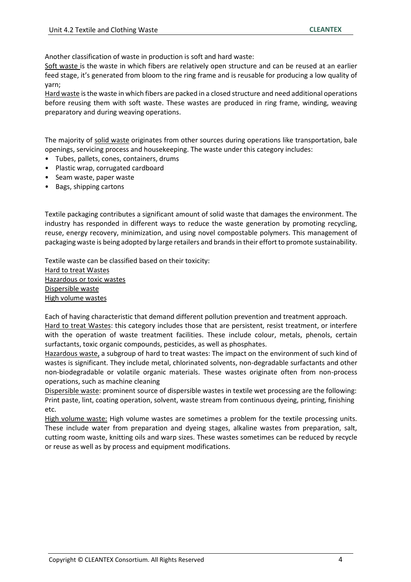Another classification of waste in production is soft and hard waste:

Soft waste is the waste in which fibers are relatively open structure and can be reused at an earlier feed stage, it's generated from bloom to the ring frame and is reusable for producing a low quality of yarn;

Hard waste is the waste in which fibers are packed in a closed structure and need additional operations before reusing them with soft waste. These wastes are produced in ring frame, winding, weaving preparatory and during weaving operations.

The majority of solid waste originates from other sources during operations like transportation, bale openings, servicing process and housekeeping. The waste under this category includes:

- Tubes, pallets, cones, containers, drums
- Plastic wrap, corrugated cardboard
- Seam waste, paper waste
- Bags, shipping cartons

Textile packaging contributes a significant amount of solid waste that damages the environment. The industry has responded in different ways to reduce the waste generation by promoting recycling, reuse, energy recovery, minimization, and using novel compostable polymers. This management of packaging waste is being adopted by large retailers and brands in their effort to promote sustainability.

Textile waste can be classified based on their toxicity: Hard to treat Wastes Hazardous or toxic wastes Dispersible waste High volume wastes

Each of having characteristic that demand different pollution prevention and treatment approach. Hard to treat Wastes: this category includes those that are persistent, resist treatment, or interfere with the operation of waste treatment facilities. These include colour, metals, phenols, certain surfactants, toxic organic compounds, pesticides, as well as phosphates.

Hazardous waste, a subgroup of hard to treat wastes: The impact on the environment of such kind of wastes is significant. They include metal, chlorinated solvents, non-degradable surfactants and other non-biodegradable or volatile organic materials. These wastes originate often from non-process operations, such as machine cleaning

Dispersible waste: prominent source of dispersible wastes in textile wet processing are the following: Print paste, lint, coating operation, solvent, waste stream from continuous dyeing, printing, finishing etc.

High volume waste: High volume wastes are sometimes a problem for the textile processing units. These include water from preparation and dyeing stages, alkaline wastes from preparation, salt, cutting room waste, knitting oils and warp sizes. These wastes sometimes can be reduced by recycle or reuse as well as by process and equipment modifications.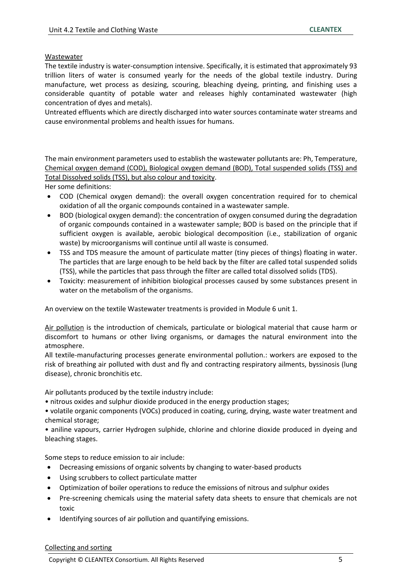#### **Wastewater**

The textile industry is water-consumption intensive. Specifically, it is estimated that approximately 93 trillion liters of water is consumed yearly for the needs of the global textile industry. During manufacture, wet process as desizing, scouring, bleaching dyeing, printing, and finishing uses a considerable quantity of potable water and releases highly contaminated wastewater (high concentration of dyes and metals).

Untreated effluents which are directly discharged into water sources contaminate water streams and cause environmental problems and health issues for humans.

The main environment parameters used to establish the wastewater pollutants are: Ph, Temperature, Chemical oxygen demand (COD), Biological oxygen demand (BOD), Total suspended solids (TSS) and Total Dissolved solids (TSS), but also colour and toxicity.

Her some definitions:

- COD (Chemical oxygen demand): the overall oxygen concentration required for to chemical oxidation of all the organic compounds contained in a wastewater sample.
- BOD (biological oxygen demand): the concentration of oxygen consumed during the degradation of organic compounds contained in a wastewater sample; BOD is based on the principle that if sufficient oxygen is available, aerobic biological decomposition (i.e., stabilization of organic waste) by microorganisms will continue until all waste is consumed.
- TSS and TDS measure the amount of particulate matter (tiny pieces of things) floating in water. The particles that are large enough to be held back by the filter are called total suspended solids (TSS), while the particles that pass through the filter are called total dissolved solids (TDS).
- Toxicity: measurement of inhibition biological processes caused by some substances present in water on the metabolism of the organisms.

An overview on the textile Wastewater treatments is provided in Module 6 unit 1.

Air pollution is the introduction of chemicals, particulate or biological material that cause harm or discomfort to humans or other living organisms, or damages the natural environment into the atmosphere.

All textile-manufacturing processes generate environmental pollution.: workers are exposed to the risk of breathing air polluted with dust and fly and contracting respiratory ailments, byssinosis (lung disease), chronic bronchitis etc.

Air pollutants produced by the textile industry include:

• nitrous oxides and sulphur dioxide produced in the energy production stages;

• volatile organic components (VOCs) produced in coating, curing, drying, waste water treatment and chemical storage;

• aniline vapours, carrier Hydrogen sulphide, chlorine and chlorine dioxide produced in dyeing and bleaching stages.

Some steps to reduce emission to air include:

- Decreasing emissions of organic solvents by changing to water-based products
- Using scrubbers to collect particulate matter
- Optimization of boiler operations to reduce the emissions of nitrous and sulphur oxides
- Pre-screening chemicals using the material safety data sheets to ensure that chemicals are not toxic
- Identifying sources of air pollution and quantifying emissions.

#### Collecting and sorting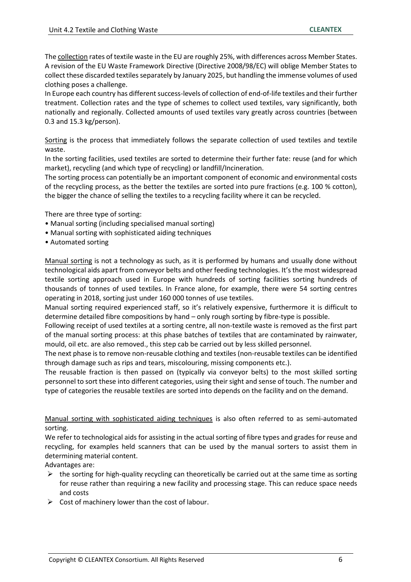The collection rates of textile waste in the EU are roughly 25%, with differences across Member States. A revision of the EU Waste Framework Directive (Directive 2008/98/EC) will oblige Member States to collect these discarded textiles separately by January 2025, but handling the immense volumes of used clothing poses a challenge.

In Europe each country has different success-levels of collection of end-of-life textiles and their further treatment. Collection rates and the type of schemes to collect used textiles, vary significantly, both nationally and regionally. Collected amounts of used textiles vary greatly across countries (between 0.3 and 15.3 kg/person).

Sorting is the process that immediately follows the separate collection of used textiles and textile waste.

In the sorting facilities, used textiles are sorted to determine their further fate: reuse (and for which market), recycling (and which type of recycling) or landfill/Incineration.

The sorting process can potentially be an important component of economic and environmental costs of the recycling process, as the better the textiles are sorted into pure fractions (e.g. 100 % cotton), the bigger the chance of selling the textiles to a recycling facility where it can be recycled.

There are three type of sorting:

- Manual sorting (including specialised manual sorting)
- Manual sorting with sophisticated aiding techniques
- Automated sorting

Manual sorting is not a technology as such, as it is performed by humans and usually done without technological aids apart from conveyor belts and other feeding technologies. It's the most widespread textile sorting approach used in Europe with hundreds of sorting facilities sorting hundreds of thousands of tonnes of used textiles. In France alone, for example, there were 54 sorting centres operating in 2018, sorting just under 160 000 tonnes of use textiles.

Manual sorting required experienced staff, so it's relatively expensive, furthermore it is difficult to determine detailed fibre compositions by hand – only rough sorting by fibre-type is possible.

Following receipt of used textiles at a sorting centre, all non-textile waste is removed as the first part of the manual sorting process: at this phase batches of textiles that are contaminated by rainwater, mould, oil etc. are also removed., this step cab be carried out by less skilled personnel.

The next phase is to remove non-reusable clothing and textiles (non-reusable textiles can be identified through damage such as rips and tears, miscolouring, missing components etc.).

The reusable fraction is then passed on (typically via conveyor belts) to the most skilled sorting personnel to sort these into different categories, using their sight and sense of touch. The number and type of categories the reusable textiles are sorted into depends on the facility and on the demand.

Manual sorting with sophisticated aiding techniques is also often referred to as semi-automated sorting.

We refer to technological aids for assisting in the actual sorting of fibre types and grades for reuse and recycling, for examples held scanners that can be used by the manual sorters to assist them in determining material content.

Advantages are:

- $\triangleright$  the sorting for high-quality recycling can theoretically be carried out at the same time as sorting for reuse rather than requiring a new facility and processing stage. This can reduce space needs and costs
- $\triangleright$  Cost of machinery lower than the cost of labour.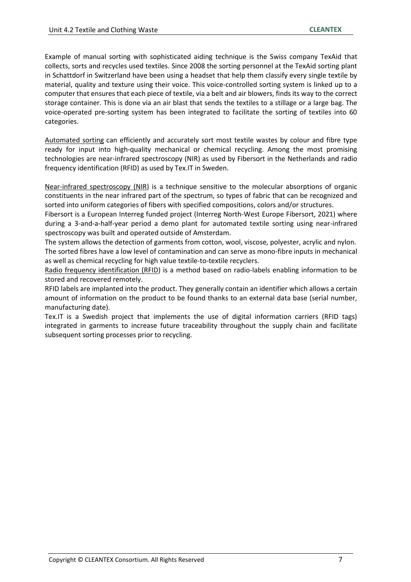Example of manual sorting with sophisticated aiding technique is the Swiss company TexAid that collects, sorts and recycles used textiles. Since 2008 the sorting personnel at the TexAid sorting plant in Schattdorf in Switzerland have been using a headset that help them classify every single textile by material, quality and texture using their voice. This voice-controlled sorting system is linked up to a computer that ensures that each piece of textile, via a belt and air blowers, finds its way to the correct storage container. This is done via an air blast that sends the textiles to a stillage or a large bag. The voice-operated pre-sorting system has been integrated to facilitate the sorting of textiles into 60 categories.

Automated sorting can efficiently and accurately sort most textile wastes by colour and fibre type ready for input into high-quality mechanical or chemical recycling. Among the most promising technologies are near-infrared spectroscopy (NIR) as used by Fibersort in the Netherlands and radio frequency identification (RFID) as used by Tex.IT in Sweden.

Near-infrared spectroscopy (NIR) is a technique sensitive to the molecular absorptions of organic constituents in the near infrared part of the spectrum, so types of fabric that can be recognized and sorted into uniform categories of fibers with specified compositions, colors and/or structures.

Fibersort is a European Interreg funded project (Interreg North-West Europe Fibersort, 2021) where during a 3-and-a-half-year period a demo plant for automated textile sorting using near-infrared spectroscopy was built and operated outside of Amsterdam.

The system allows the detection of garments from cotton, wool, viscose, polyester, acrylic and nylon. The sorted fibres have a low level of contamination and can serve as mono-fibre inputs in mechanical as well as chemical recycling for high value textile-to-textile recyclers.

Radio frequency identification (RFID) is a method based on radio-labels enabling information to be stored and recovered remotely.

RFID labels are implanted into the product. They generally contain an identifier which allows a certain amount of information on the product to be found thanks to an external data base (serial number, manufacturing date).

Tex.IT is a Swedish project that implements the use of digital information carriers (RFID tags) integrated in garments to increase future traceability throughout the supply chain and facilitate subsequent sorting processes prior to recycling.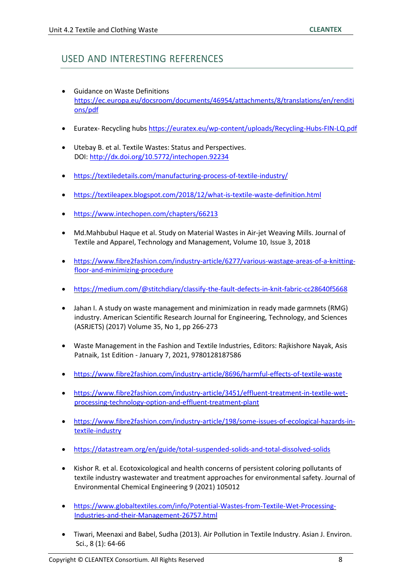### USED AND INTERESTING REFERENCES

- Guidance on Waste Definitions [https://ec.europa.eu/docsroom/documents/46954/attachments/8/translations/en/renditi](https://ec.europa.eu/docsroom/documents/46954/attachments/8/translations/en/renditions/pdf) [ons/pdf](https://ec.europa.eu/docsroom/documents/46954/attachments/8/translations/en/renditions/pdf)
- Euratex- Recycling hubs<https://euratex.eu/wp-content/uploads/Recycling-Hubs-FIN-LQ.pdf>
- Utebay B. et al. Textile Wastes: Status and Perspectives. DOI:<http://dx.doi.org/10.5772/intechopen.92234>
- <https://textiledetails.com/manufacturing-process-of-textile-industry/>
- <https://textileapex.blogspot.com/2018/12/what-is-textile-waste-definition.html>
- <https://www.intechopen.com/chapters/66213>
- Md.Mahbubul Haque et al. Study on Material Wastes in Air-jet Weaving Mills. Journal of Textile and Apparel, Technology and Management, Volume 10, Issue 3, 2018
- [https://www.fibre2fashion.com/industry-article/6277/various-wastage-areas-of-a-knitting](https://www.fibre2fashion.com/industry-article/6277/various-wastage-areas-of-a-knitting-floor-and-minimizing-procedure)[floor-and-minimizing-procedure](https://www.fibre2fashion.com/industry-article/6277/various-wastage-areas-of-a-knitting-floor-and-minimizing-procedure)
- <https://medium.com/@stitchdiary/classify-the-fault-defects-in-knit-fabric-cc28640f5668>
- Jahan I. A study on waste management and minimization in ready made garmnets (RMG) industry. American Scientific Research Journal for Engineering, Technology, and Sciences (ASRJETS) (2017) Volume 35, No 1, pp 266-273
- Waste Management in the Fashion and Textile Industries, Editors: Rajkishore Nayak, Asis Patnaik, 1st Edition - January 7, 2021, 9780128187586
- <https://www.fibre2fashion.com/industry-article/8696/harmful-effects-of-textile-waste>
- [https://www.fibre2fashion.com/industry-article/3451/effluent-treatment-in-textile-wet](https://www.fibre2fashion.com/industry-article/3451/effluent-treatment-in-textile-wet-processing-technology-option-and-effluent-treatment-plant)[processing-technology-option-and-effluent-treatment-plant](https://www.fibre2fashion.com/industry-article/3451/effluent-treatment-in-textile-wet-processing-technology-option-and-effluent-treatment-plant)
- [https://www.fibre2fashion.com/industry-article/198/some-issues-of-ecological-hazards-in](https://www.fibre2fashion.com/industry-article/198/some-issues-of-ecological-hazards-in-textile-industry)[textile-industry](https://www.fibre2fashion.com/industry-article/198/some-issues-of-ecological-hazards-in-textile-industry)
- <https://datastream.org/en/guide/total-suspended-solids-and-total-dissolved-solids>
- Kishor R. et al. Ecotoxicological and health concerns of persistent coloring pollutants of textile industry wastewater and treatment approaches for environmental safety. Journal of Environmental Chemical Engineering 9 (2021) 105012
- [https://www.globaltextiles.com/info/Potential-Wastes-from-Textile-Wet-Processing-](https://www.globaltextiles.com/info/Potential-Wastes-from-Textile-Wet-Processing-Industries-and-their-Management-26757.html)[Industries-and-their-Management-26757.html](https://www.globaltextiles.com/info/Potential-Wastes-from-Textile-Wet-Processing-Industries-and-their-Management-26757.html)
- Tiwari, Meenaxi and Babel, Sudha (2013). Air Pollution in Textile Industry. Asian J. Environ. Sci., 8 (1): 64-66